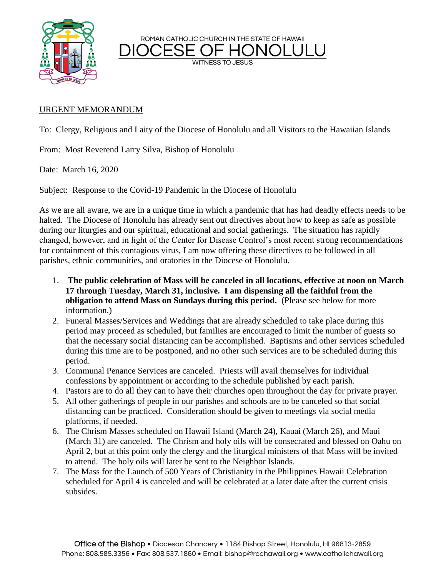

ROMAN CATHOLIC CHURCH IN THE STATE OF HAWAII

**WITNESS TO JESUS** 

## URGENT MEMORANDUM

To: Clergy, Religious and Laity of the Diocese of Honolulu and all Visitors to the Hawaiian Islands

From: Most Reverend Larry Silva, Bishop of Honolulu

Date: March 16, 2020

Subject: Response to the Covid-19 Pandemic in the Diocese of Honolulu

As we are all aware, we are in a unique time in which a pandemic that has had deadly effects needs to be halted. The Diocese of Honolulu has already sent out directives about how to keep as safe as possible during our liturgies and our spiritual, educational and social gatherings. The situation has rapidly changed, however, and in light of the Center for Disease Control's most recent strong recommendations for containment of this contagious virus, I am now offering these directives to be followed in all parishes, ethnic communities, and oratories in the Diocese of Honolulu.

- 1. **The public celebration of Mass will be canceled in all locations, effective at noon on March 17 through Tuesday, March 31, inclusive. I am dispensing all the faithful from the obligation to attend Mass on Sundays during this period.** (Please see below for more information.)
- 2. Funeral Masses/Services and Weddings that are already scheduled to take place during this period may proceed as scheduled, but families are encouraged to limit the number of guests so that the necessary social distancing can be accomplished. Baptisms and other services scheduled during this time are to be postponed, and no other such services are to be scheduled during this period.
- 3. Communal Penance Services are canceled. Priests will avail themselves for individual confessions by appointment or according to the schedule published by each parish.
- 4. Pastors are to do all they can to have their churches open throughout the day for private prayer.
- 5. All other gatherings of people in our parishes and schools are to be canceled so that social distancing can be practiced. Consideration should be given to meetings via social media platforms, if needed.
- 6. The Chrism Masses scheduled on Hawaii Island (March 24), Kauai (March 26), and Maui (March 31) are canceled. The Chrism and holy oils will be consecrated and blessed on Oahu on April 2, but at this point only the clergy and the liturgical ministers of that Mass will be invited to attend. The holy oils will later be sent to the Neighbor Islands.
- 7. The Mass for the Launch of 500 Years of Christianity in the Philippines Hawaii Celebration scheduled for April 4 is canceled and will be celebrated at a later date after the current crisis subsides.